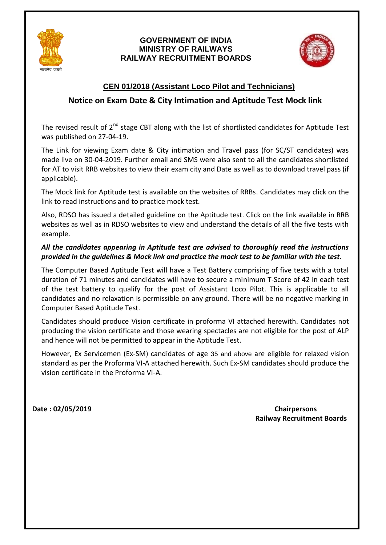

#### **GOVERNMENT OF INDIA MINISTRY OF RAILWAYS RAILWAY RECRUITMENT BOARDS**



### **CEN 01/2018 (Assistant Loco Pilot and Technicians)**

### **Notice on Exam Date & City Intimation and Aptitude Test Mock link**

The revised result of 2<sup>nd</sup> stage CBT along with the list of shortlisted candidates for Aptitude Test was published on 27-04-19.

The Link for viewing Exam date & City intimation and Travel pass (for SC/ST candidates) was made live on 30-04-2019. Further email and SMS were also sent to all the candidates shortlisted for AT to visit RRB websites to view their exam city and Date as well as to download travel pass (if applicable).

The Mock link for Aptitude test is available on the websites of RRBs. Candidates may click on the link to read instructions and to practice mock test.

Also, RDSO has issued a detailed guideline on the Aptitude test. Click on the link available in RRB websites as well as in RDSO websites to view and understand the details of all the five tests with example.

#### *All the candidates appearing in Aptitude test are advised to thoroughly read the instructions provided in the guidelines & Mock link and practice the mock test to be familiar with the test.*

The Computer Based Aptitude Test will have a Test Battery comprising of five tests with a total duration of 71 minutes and candidates will have to secure a minimum T-Score of 42 in each test of the test battery to qualify for the post of Assistant Loco Pilot. This is applicable to all candidates and no relaxation is permissible on any ground. There will be no negative marking in Computer Based Aptitude Test.

Candidates should produce Vision certificate in proforma VI attached herewith. Candidates not producing the vision certificate and those wearing spectacles are not eligible for the post of ALP and hence will not be permitted to appear in the Aptitude Test.

However, Ex Servicemen (Ex-SM) candidates of age 35 and above are eligible for relaxed vision standard as per the Proforma VI-A attached herewith. Such Ex-SM candidates should produce the vision certificate in the Proforma VI-A.

**Date : 02/05/2019 Chairpersons Railway Recruitment Boards**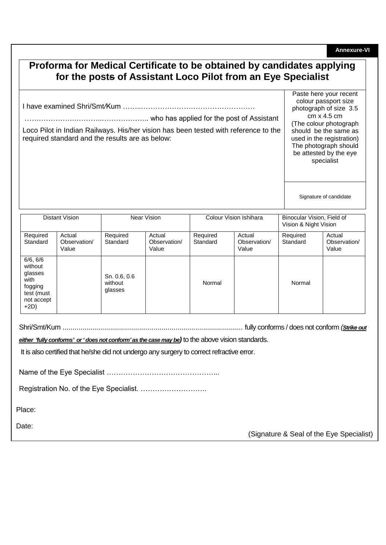**Annexure-VI**

# **Proforma for Medical Certificate to be obtained by candidates applying for the posts of Assistant Loco Pilot from an Eye Specialist**

I have examined Shri/Smt*/*Kum ……..…………………………………………

………………….………..……………….. who has applied for the post of Assistant

Loco Pilot in Indian Railways. His/her vision has been tested with reference to the required standard and the results are as below:

Paste here your recent colour passport size photograph of size 3.5 cm x 4.5 cm (The colour photograph should be the same as used in the registration) The photograph should be attested by the eye specialist

Signature of candidate

| <b>Distant Vision</b>                                                                   |                                 | Near Vision                        |                                 | Colour Vision Ishihara |                                 | Binocular Vision, Field of<br>Vision & Night Vision |                                 |
|-----------------------------------------------------------------------------------------|---------------------------------|------------------------------------|---------------------------------|------------------------|---------------------------------|-----------------------------------------------------|---------------------------------|
| Required<br>Standard                                                                    | Actual<br>Observation/<br>Value | Required<br>Standard               | Actual<br>Observation/<br>Value | Required<br>Standard   | Actual<br>Observation/<br>Value | Required<br>Standard                                | Actual<br>Observation/<br>Value |
| 6/6, 6/6<br>without<br>glasses<br>with<br>fogging<br>test (must<br>not accept<br>$+2D)$ |                                 | Sn. 0.6, 0.6<br>without<br>glasses |                                 | Normal                 |                                 | Normal                                              |                                 |

Shri/Smt/Kum ........................................................................................... fully conforms / does not conform *(Strike out* 

*either 'fully conforms' or 'does not conform' as the case may be)* to the above vision standards.

It is also certified that he/she did not undergo any surgery to correct refractive error.

Name of the Eye Specialist ………………………………………...

Registration No. of the Eye Specialist. ……………………….

Place:

Date:

(Signature & Seal of the Eye Specialist)